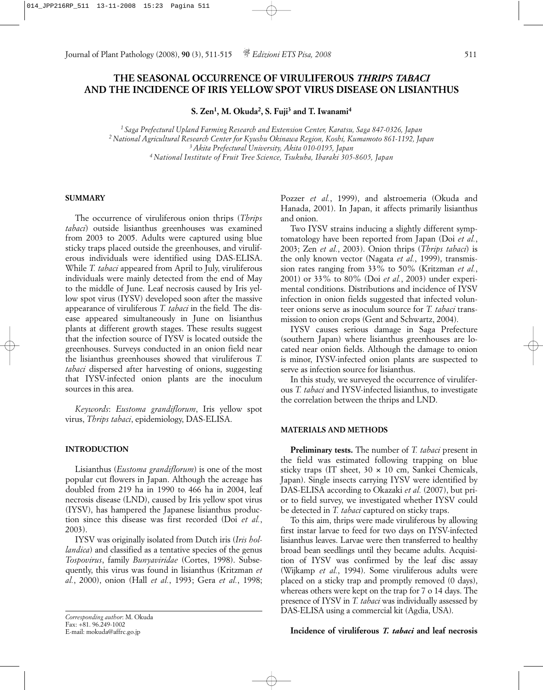# **THE SEASONAL OCCURRENCE OF VIRULIFEROUS** *THRIPS TABACI* **AND THE INCIDENCE OF IRIS YELLOW SPOT VIRUS DISEASE ON LISIANTHUS**

**S. Zen1, M. Okuda2, S. Fuji3 and T. Iwanami4**

*1 Saga Prefectural Upland Farming Research and Extension Center, Karatsu, Saga 847-0326, Japan 2 National Agricultural Research Center for Kyushu Okinawa Region, Koshi, Kumamoto 861-1192, Japan 3 Akita Prefectural University, Akita 010-0195, Japan 4 National Institute of Fruit Tree Science, Tsukuba, Ibaraki 305-8605, Japan*

#### **SUMMARY**

The occurrence of viruliferous onion thrips (*Thrips tabaci*) outside lisianthus greenhouses was examined from 2003 to 2005. Adults were captured using blue sticky traps placed outside the greenhouses, and viruliferous individuals were identified using DAS-ELISA. While *T. tabaci* appeared from April to July, viruliferous individuals were mainly detected from the end of May to the middle of June. Leaf necrosis caused by Iris yellow spot virus (IYSV) developed soon after the massive appearance of viruliferous *T. tabaci* in the field*.* The disease appeared simultaneously in June on lisianthus plants at different growth stages. These results suggest that the infection source of IYSV is located outside the greenhouses. Surveys conducted in an onion field near the lisianthus greenhouses showed that viruliferous *T. tabaci* dispersed after harvesting of onions, suggesting that IYSV-infected onion plants are the inoculum sources in this area.

*Keywords*: *Eustoma grandiflorum*, Iris yellow spot virus, *Thrips tabaci*, epidemiology, DAS-ELISA.

#### **INTRODUCTION**

Lisianthus (*Eustoma grandiflorum*) is one of the most popular cut flowers in Japan. Although the acreage has doubled from 219 ha in 1990 to 466 ha in 2004, leaf necrosis disease (LND), caused by Iris yellow spot virus (IYSV), has hampered the Japanese lisianthus production since this disease was first recorded (Doi *et al.*, 2003).

IYSV was originally isolated from Dutch iris (*Iris hollandica*) and classified as a tentative species of the genus *Tospovirus*, family *Bunyaviridae* (Cortes, 1998). Subsequently, this virus was found in lisianthus (Kritzman *et al.*, 2000), onion (Hall *et al.*, 1993; Gera *et al.*, 1998;

Pozzer *et al.*, 1999), and alstroemeria (Okuda and Hanada, 2001). In Japan, it affects primarily lisianthus and onion.

Two IYSV strains inducing a slightly different symptomatology have been reported from Japan (Doi *et al.*, 2003; Zen *et al.*, 2003). Onion thrips (*Thrips tabaci*) is the only known vector (Nagata *et al.*, 1999), transmission rates ranging from 33% to 50% (Kritzman *et al.*, 2001) or 33% to 80% (Doi *et al.*, 2003) under experimental conditions. Distributions and incidence of IYSV infection in onion fields suggested that infected volunteer onions serve as inoculum source for *T. tabaci* transmission to onion crops (Gent and Schwartz, 2004).

IYSV causes serious damage in Saga Prefecture (southern Japan) where lisianthus greenhouses are located near onion fields. Although the damage to onion is minor, IYSV-infected onion plants are suspected to serve as infection source for lisianthus.

In this study, we surveyed the occurrence of viruliferous *T. tabaci* and IYSV-infected lisianthus, to investigate the correlation between the thrips and LND.

#### **MATERIALS AND METHODS**

**Preliminary tests.** The number of *T. tabaci* present in the field was estimated following trapping on blue sticky traps (IT sheet, 30 × 10 cm, Sankei Chemicals, Japan). Single insects carrying IYSV were identified by DAS-ELISA according to Okazaki *et al.* (2007), but prior to field survey, we investigated whether IYSV could be detected in *T. tabaci* captured on sticky traps.

To this aim, thrips were made viruliferous by allowing first instar larvae to feed for two days on IYSV-infected lisianthus leaves. Larvae were then transferred to healthy broad bean seedlings until they became adults. Acquisition of IYSV was confirmed by the leaf disc assay (Wijkamp *et al.*, 1994). Some viruliferous adults were placed on a sticky trap and promptly removed (0 days), whereas others were kept on the trap for 7 o 14 days. The presence of IYSV in *T. tabaci* was individually assessed by DAS-ELISA using a commercial kit (Agdia, USA).

### **Incidence of viruliferous** *T. tabaci* **and leaf necrosis**

*Corresponding author*: M. Okuda Fax: +81. 96.249-1002 E-mail: mokuda@affrc.go.jp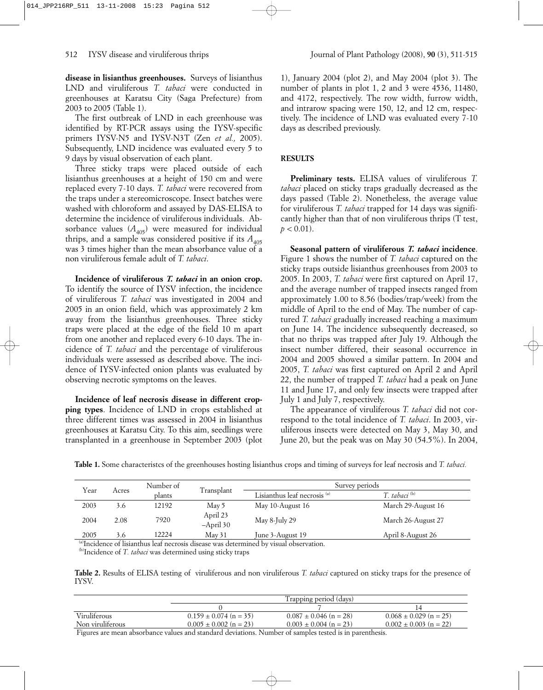**disease in lisianthus greenhouses.** Surveys of lisianthus LND and viruliferous *T. tabaci* were conducted in greenhouses at Karatsu City (Saga Prefecture) from 2003 to 2005 (Table 1).

The first outbreak of LND in each greenhouse was identified by RT-PCR assays using the IYSV-specific primers IYSV-N5 and IYSV-N3T (Zen *et al.,* 2005). Subsequently, LND incidence was evaluated every 5 to 9 days by visual observation of each plant.

Three sticky traps were placed outside of each lisianthus greenhouses at a height of 150 cm and were replaced every 7-10 days. *T. tabaci* were recovered from the traps under a stereomicroscope. Insect batches were washed with chloroform and assayed by DAS-ELISA to determine the incidence of viruliferous individuals. Absorbance values  $(A_{405})$  were measured for individual thrips, and a sample was considered positive if its  $A_{405}$ was 3 times higher than the mean absorbance value of a non viruliferous female adult of *T. tabaci*.

**Incidence of viruliferous** *T. tabaci* **in an onion crop.** To identify the source of IYSV infection, the incidence of viruliferous *T. tabaci* was investigated in 2004 and 2005 in an onion field, which was approximately 2 km away from the lisianthus greenhouses. Three sticky traps were placed at the edge of the field 10 m apart from one another and replaced every 6-10 days. The incidence of *T. tabaci* and the percentage of viruliferous individuals were assessed as described above. The incidence of IYSV-infected onion plants was evaluated by observing necrotic symptoms on the leaves.

**Incidence of leaf necrosis disease in different cropping types**. Incidence of LND in crops established at three different times was assessed in 2004 in lisianthus greenhouses at Karatsu City. To this aim, seedlings were transplanted in a greenhouse in September 2003 (plot

1), January 2004 (plot 2), and May 2004 (plot 3). The number of plants in plot 1, 2 and 3 were 4536, 11480, and 4172, respectively. The row width, furrow width, and intrarow spacing were 150, 12, and 12 cm, respectively. The incidence of LND was evaluated every 7-10 days as described previously.

### **RESULTS**

**Preliminary tests.** ELISA values of viruliferous *T. tabaci* placed on sticky traps gradually decreased as the days passed (Table 2). Nonetheless, the average value for viruliferous *T. tabaci* trapped for 14 days was significantly higher than that of non viruliferous thrips (T test,  $p < 0.01$ ).

**Seasonal pattern of viruliferous** *T. tabaci* **incidence**. Figure 1 shows the number of *T. tabaci* captured on the sticky traps outside lisianthus greenhouses from 2003 to 2005. In 2003, *T. tabaci* were first captured on April 17, and the average number of trapped insects ranged from approximately 1.00 to 8.56 (bodies/trap/week) from the middle of April to the end of May. The number of captured *T. tabaci* gradually increased reaching a maximum on June 14. The incidence subsequently decreased, so that no thrips was trapped after July 19. Although the insect number differed, their seasonal occurrence in 2004 and 2005 showed a similar pattern. In 2004 and 2005, *T. tabaci* was first captured on April 2 and April 22, the number of trapped *T. tabaci* had a peak on June 11 and June 17, and only few insects were trapped after July 1 and July 7, respectively.

The appearance of viruliferous *T. tabaci* did not correspond to the total incidence of *T. tabaci*. In 2003, viruliferous insects were detected on May 3, May 30, and June 20, but the peak was on May 30 (54.5%). In 2004,

| Year | Acres | Number of | Transplant              | Survey periods                          |                          |
|------|-------|-----------|-------------------------|-----------------------------------------|--------------------------|
|      |       | plants    |                         | Lisianthus leaf necrosis <sup>(a)</sup> | T. tabaci <sup>(b)</sup> |
| 2003 | 3.6   | 12192     | May 5                   | May 10-August 16                        | March 29-August 16       |
| 2004 | 2.08  | 7920      | April 23<br>$-April 30$ | May 8-July 29                           | March 26-August 27       |
| 2005 | 3.6   | 12224     | May 31                  | June 3-August 19                        | April 8-August 26        |

**Table 1.** Some characteristcs of the greenhouses hosting lisianthus crops and timing of surveys for leaf necrosis and *T. tabaci.*

The idence of lisianthus leaf necrosis disease was determined by visual observation.

(b)Incidence of *T. tabaci* was determined using sticky traps

**Table 2.** Results of ELISA testing of viruliferous and non viruliferous *T. tabaci* captured on sticky traps for the presence of IYSV.

|                  | Trapping period (days)     |                            |                            |
|------------------|----------------------------|----------------------------|----------------------------|
|                  |                            |                            |                            |
| Viruliferous     | $0.159 \pm 0.074$ (n = 35) | $0.087 \pm 0.046$ (n = 28) | $0.068 \pm 0.029$ (n = 25) |
| Non viruliferous | $0.005 \pm 0.002$ (n = 23) | $0.003 \pm 0.004$ (n = 23) | $0.002 \pm 0.003$ (n = 22) |
| $\mathbf{r}$     |                            |                            |                            |

Figures are mean absorbance values and standard deviations. Number of samples tested is in parenthesis.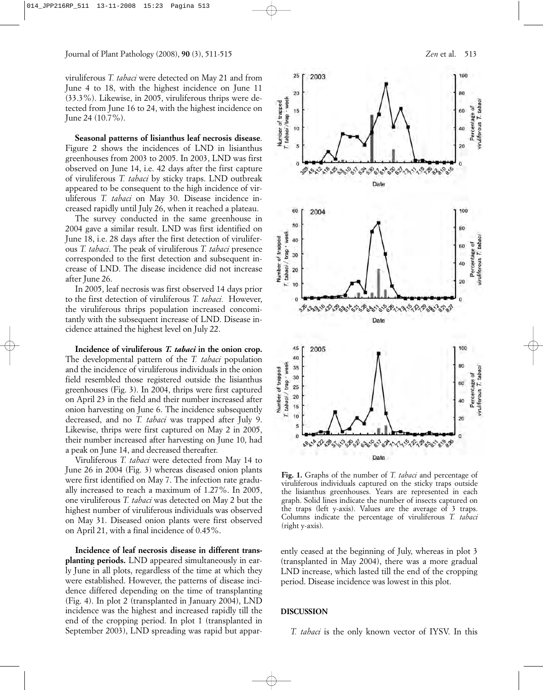viruliferous *T. tabaci* were detected on May 21 and from June 4 to 18, with the highest incidence on June 11 (33.3%). Likewise, in 2005, viruliferous thrips were detected from June 16 to 24, with the highest incidence on June 24 (10.7%).

**Seasonal patterns of lisianthus leaf necrosis disease**. Figure 2 shows the incidences of LND in lisianthus greenhouses from 2003 to 2005. In 2003, LND was first observed on June 14, i.e. 42 days after the first capture of viruliferous *T. tabaci* by sticky traps. LND outbreak appeared to be consequent to the high incidence of viruliferous *T. tabaci* on May 30. Disease incidence increased rapidly until July 26, when it reached a plateau.

The survey conducted in the same greenhouse in 2004 gave a similar result. LND was first identified on June 18, i.e. 28 days after the first detection of viruliferous *T. tabaci*. The peak of viruliferous *T. tabaci* presence corresponded to the first detection and subsequent increase of LND. The disease incidence did not increase after June 26.

In 2005, leaf necrosis was first observed 14 days prior to the first detection of viruliferous *T. tabaci.* However, the viruliferous thrips population increased concomitantly with the subsequent increase of LND. Disease incidence attained the highest level on July 22.

**Incidence of viruliferous** *T. tabaci* **in the onion crop.** The developmental pattern of the *T. tabaci* population and the incidence of viruliferous individuals in the onion field resembled those registered outside the lisianthus greenhouses (Fig. 3). In 2004, thrips were first captured on April 23 in the field and their number increased after onion harvesting on June 6. The incidence subsequently decreased, and no *T. tabaci* was trapped after July 9. Likewise, thrips were first captured on May 2 in 2005, their number increased after harvesting on June 10, had a peak on June 14, and decreased thereafter.

Viruliferous *T. tabaci* were detected from May 14 to June 26 in 2004 (Fig. 3) whereas diseased onion plants were first identified on May 7. The infection rate gradually increased to reach a maximum of 1.27%. In 2005, one viruliferous *T. tabaci* was detected on May 2 but the highest number of viruliferous individuals was observed on May 31. Diseased onion plants were first observed on April 21, with a final incidence of 0.45%.

**Incidence of leaf necrosis disease in different transplanting periods.** LND appeared simultaneously in early June in all plots, regardless of the time at which they were established. However, the patterns of disease incidence differed depending on the time of transplanting (Fig. 4). In plot 2 (transplanted in January 2004), LND incidence was the highest and increased rapidly till the end of the cropping period. In plot 1 (transplanted in September 2003), LND spreading was rapid but appar-



**Fig. 1.** Graphs of the number of *T. tabaci* and percentage of viruliferous individuals captured on the sticky traps outside the lisianthus greenhouses. Years are represented in each graph. Solid lines indicate the number of insects captured on the traps (left y-axis). Values are the average of 3 traps. Columns indicate the percentage of viruliferous *T. tabaci* (right y-axis).

ently ceased at the beginning of July, whereas in plot 3 (transplanted in May 2004), there was a more gradual LND increase, which lasted till the end of the cropping period. Disease incidence was lowest in this plot.

## **DISCUSSION**

*T. tabaci* is the only known vector of IYSV. In this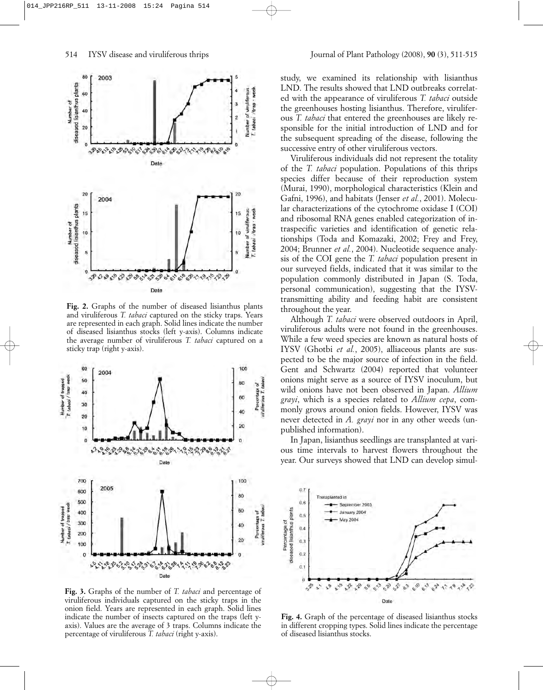

**Fig. 2.** Graphs of the number of diseased lisianthus plants and viruliferous *T. tabaci* captured on the sticky traps. Years are represented in each graph. Solid lines indicate the number of diseased lisianthus stocks (left y-axis). Columns indicate the average number of viruliferous *T. tabaci* captured on a sticky trap (right y-axis).



**Fig. 3.** Graphs of the number of *T. tabaci* and percentage of viruliferous individuals captured on the sticky traps in the onion field. Years are represented in each graph. Solid lines indicate the number of insects captured on the traps (left yaxis). Values are the average of 3 traps. Columns indicate the percentage of viruliferous *T. tabaci* (right y-axis).

study, we examined its relationship with lisianthus LND. The results showed that LND outbreaks correlated with the appearance of viruliferous *T. tabaci* outside the greenhouses hosting lisianthus. Therefore, viruliferous *T. tabaci* that entered the greenhouses are likely responsible for the initial introduction of LND and for the subsequent spreading of the disease, following the successive entry of other viruliferous vectors.

Viruliferous individuals did not represent the totality of the *T. tabaci* population. Populations of this thrips species differ because of their reproduction system (Murai, 1990), morphological characteristics (Klein and Gafni, 1996), and habitats (Jenser *et al.*, 2001). Molecular characterizations of the cytochrome oxidase I (COI) and ribosomal RNA genes enabled categorization of intraspecific varieties and identification of genetic relationships (Toda and Komazaki, 2002; Frey and Frey, 2004; Brunner *et al.*, 2004). Nucleotide sequence analysis of the COI gene the *T. tabaci* population present in our surveyed fields, indicated that it was similar to the population commonly distributed in Japan (S. Toda, personal communication), suggesting that the IYSVtransmitting ability and feeding habit are consistent throughout the year.

Although *T. tabaci* were observed outdoors in April, viruliferous adults were not found in the greenhouses. While a few weed species are known as natural hosts of IYSV (Ghotbi *et al.*, 2005), alliaceous plants are suspected to be the major source of infection in the field. Gent and Schwartz (2004) reported that volunteer onions might serve as a source of IYSV inoculum, but wild onions have not been observed in Japan. *Allium grayi*, which is a species related to *Allium cepa*, commonly grows around onion fields. However, IYSV was never detected in *A. grayi* nor in any other weeds (unpublished information).

In Japan, lisianthus seedlings are transplanted at various time intervals to harvest flowers throughout the year. Our surveys showed that LND can develop simul-



**Fig. 4.** Graph of the percentage of diseased lisianthus stocks in different cropping types. Solid lines indicate the percentage of diseased lisianthus stocks.